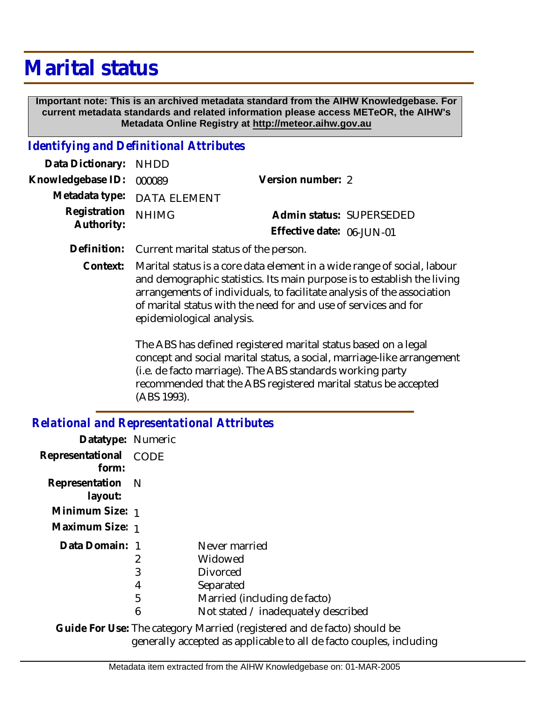# **Marital status**

 **Important note: This is an archived metadata standard from the AIHW Knowledgebase. For current metadata standards and related information please access METeOR, the AIHW's Metadata Online Registry at http://meteor.aihw.gov.au**

### *Identifying and Definitional Attributes*

| Data Dictionary: NHDD            |                             |                              |  |
|----------------------------------|-----------------------------|------------------------------|--|
| Knowledgebase ID: 000089         |                             | Version number: 2            |  |
|                                  | Metadata type: DATA ELEMENT |                              |  |
| Registration NHIMG<br>Authority: |                             | Admin status: SUPERSEDED     |  |
|                                  |                             | Effective date: $06$ -JUN-01 |  |

**Definition:** Current marital status of the person.

Marital status is a core data element in a wide range of social, labour and demographic statistics. Its main purpose is to establish the living arrangements of individuals, to facilitate analysis of the association of marital status with the need for and use of services and for epidemiological analysis. **Context:**

> The ABS has defined registered marital status based on a legal concept and social marital status, a social, marriage-like arrangement (i.e. de facto marriage). The ABS standards working party recommended that the ABS registered marital status be accepted (ABS 1993).

#### *Relational and Representational Attributes*

| Datatype: Numeric                                                       |   |                                     |  |  |
|-------------------------------------------------------------------------|---|-------------------------------------|--|--|
| Representational CODE<br>form:                                          |   |                                     |  |  |
| Representation N<br>layout:                                             |   |                                     |  |  |
| Minimum Size: 1                                                         |   |                                     |  |  |
| Maximum Size: 1                                                         |   |                                     |  |  |
| Data Domain: 1                                                          |   | Never married                       |  |  |
|                                                                         | 2 | Widowed                             |  |  |
|                                                                         | 3 | <b>Divorced</b>                     |  |  |
|                                                                         | 4 | Separated                           |  |  |
|                                                                         | 5 | Married (including de facto)        |  |  |
|                                                                         | 6 | Not stated / inadequately described |  |  |
| Guide For Use: The category Married (registered and de facto) should be |   |                                     |  |  |

generally accepted as applicable to all de facto couples, including